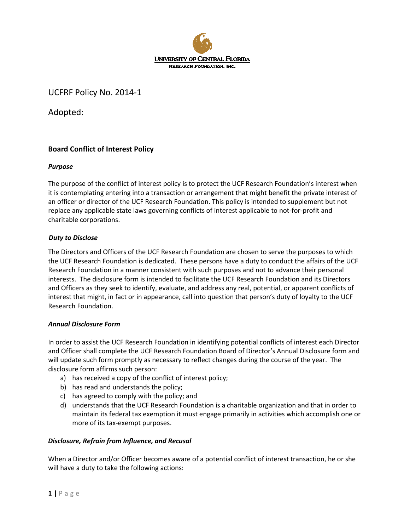

UCFRF Policy No. 2014-1

Adopted:

# **Board Conflict of Interest Policy**

# *Purpose*

The purpose of the conflict of interest policy is to protect the UCF Research Foundation's interest when it is contemplating entering into a transaction or arrangement that might benefit the private interest of an officer or director of the UCF Research Foundation. This policy is intended to supplement but not replace any applicable state laws governing conflicts of interest applicable to not-for-profit and charitable corporations.

### *Duty to Disclose*

The Directors and Officers of the UCF Research Foundation are chosen to serve the purposes to which the UCF Research Foundation is dedicated. These persons have a duty to conduct the affairs of the UCF Research Foundation in a manner consistent with such purposes and not to advance their personal interests. The disclosure form is intended to facilitate the UCF Research Foundation and its Directors and Officers as they seek to identify, evaluate, and address any real, potential, or apparent conflicts of interest that might, in fact or in appearance, call into question that person's duty of loyalty to the UCF Research Foundation.

#### *Annual Disclosure Form*

In order to assist the UCF Research Foundation in identifying potential conflicts of interest each Director and Officer shall complete the UCF Research Foundation Board of Director's Annual Disclosure form and will update such form promptly as necessary to reflect changes during the course of the year. The disclosure form affirms such person:

- a) has received a copy of the conflict of interest policy;
- b) has read and understands the policy;
- c) has agreed to comply with the policy; and
- d) understands that the UCF Research Foundation is a charitable organization and that in order to maintain its federal tax exemption it must engage primarily in activities which accomplish one or more of its tax-exempt purposes.

# *Disclosure, Refrain from Influence, and Recusal*

When a Director and/or Officer becomes aware of a potential conflict of interest transaction, he or she will have a duty to take the following actions: